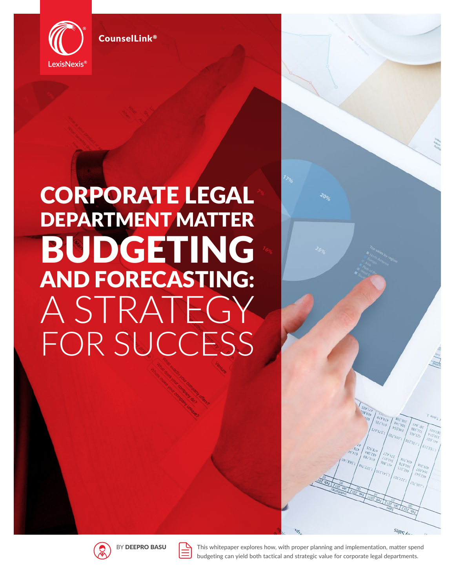

CounselLink®

# CORPORATE LEGAL DEPARTMENT MATTER BUDGETING AND FORECASTING: A STRATEGY FOR SUCCESS





This whitepaper explores how, with proper planning and implementation, matter spend budgeting can yield both tactical and strategic value for corporate legal departments.

Sales An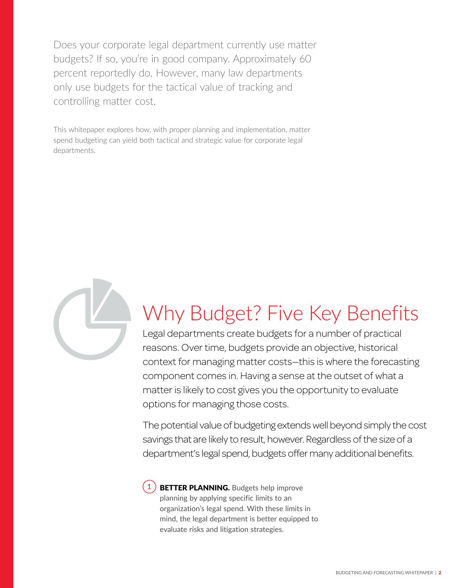Does your corporate legal department currently use matter budgets? If so, you're in good company. Approximately 60 percent reportedly do. However, many law departments only use budgets for the tactical value of tracking and controlling matter cost.

This whitepaper explores how, with proper planning and implementation, matter spend budgeting can yield both tactical and strategic value for corporate legal departments.



# Why Budget? Five Key Benefits

Legal departments create budgets for a number of practical reasons. Over time, budgets provide an objective, historical context for managing matter costs—this is where the forecasting component comes in. Having a sense at the outset of what a matter is likely to cost gives you the opportunity to evaluate options for managing those costs.

The potential value of budgeting extends well beyond simply the cost savings that are likely to result, however. Regardless of the size of a department's legal spend, budgets offer many additional benefits.

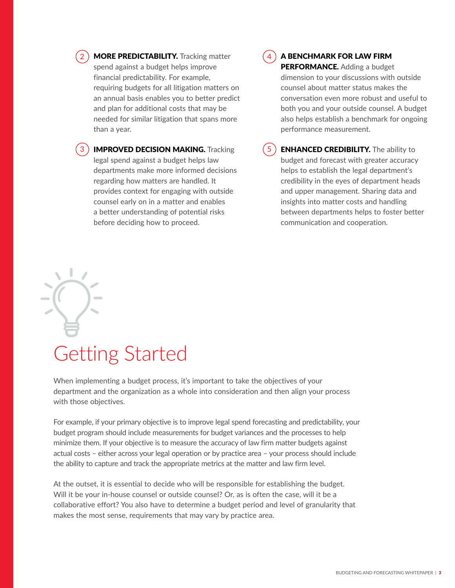2) MORE PREDICTABILITY. Tracking matter  $(4)$ spend against a budget helps improve financial predictability. For example, requiring budgets for all litigation matters on an annual basis enables you to better predict and plan for additional costs that may be needed for similar litigation that spans more than a year.

3) **IMPROVED DECISION MAKING.** Tracking (5 legal spend against a budget helps law departments make more informed decisions regarding how matters are handled. It provides context for engaging with outside counsel early on in a matter and enables a better understanding of potential risks before deciding how to proceed.

#### A BENCHMARK FOR LAW FIRM

PERFORMANCE. Adding a budget dimension to your discussions with outside counsel about matter status makes the conversation even more robust and useful to both you and your outside counsel. A budget also helps establish a benchmark for ongoing performance measurement.

**ENHANCED CREDIBILITY.** The ability to budget and forecast with greater accuracy helps to establish the legal department's credibility in the eyes of department heads and upper management. Sharing data and insights into matter costs and handling between departments helps to foster better communication and cooperation.

## Getting Started

When implementing a budget process, it's important to take the objectives of your department and the organization as a whole into consideration and then align your process with those objectives.

For example, if your primary objective is to improve legal spend forecasting and predictability, your budget program should include measurements for budget variances and the processes to help minimize them. If your objective is to measure the accuracy of law firm matter budgets against actual costs – either across your legal operation or by practice area – your process should include the ability to capture and track the appropriate metrics at the matter and law firm level.

At the outset, it is essential to decide who will be responsible for establishing the budget. Will it be your in-house counsel or outside counsel? Or, as is often the case, will it be a collaborative effort? You also have to determine a budget period and level of granularity that makes the most sense, requirements that may vary by practice area.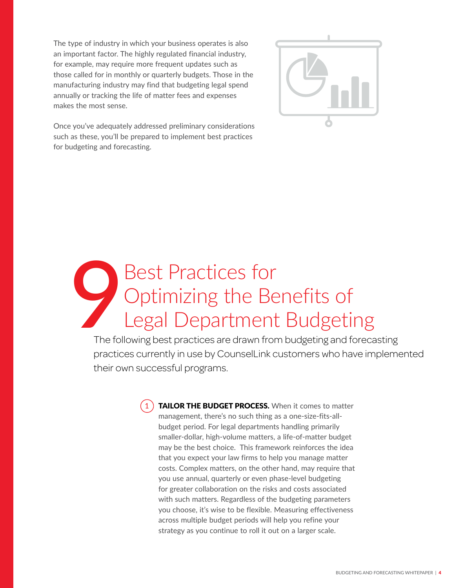The type of industry in which your business operates is also an important factor. The highly regulated financial industry, for example, may require more frequent updates such as those called for in monthly or quarterly budgets. Those in the manufacturing industry may find that budgeting legal spend annually or tracking the life of matter fees and expenses makes the most sense.



Once you've adequately addressed preliminary considerations such as these, you'll be prepared to implement best practices for budgeting and forecasting.

## Best Practices for Optimizing the Benefits of Legal Department Budgeting The foll

The following best practices are drawn from budgeting and forecasting practices currently in use by CounselLink customers who have implemented their own successful programs.

> 1) TAILOR THE BUDGET PROCESS. When it comes to matter management, there's no such thing as a one-size-fits-allbudget period. For legal departments handling primarily smaller-dollar, high-volume matters, a life-of-matter budget may be the best choice. This framework reinforces the idea that you expect your law firms to help you manage matter costs. Complex matters, on the other hand, may require that you use annual, quarterly or even phase-level budgeting for greater collaboration on the risks and costs associated with such matters. Regardless of the budgeting parameters you choose, it's wise to be flexible. Measuring effectiveness across multiple budget periods will help you refine your strategy as you continue to roll it out on a larger scale.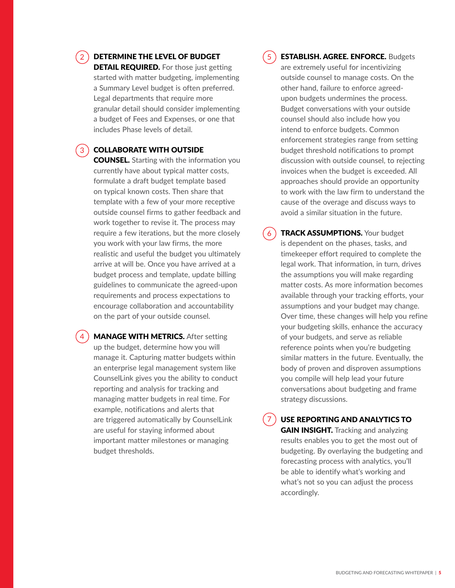#### DETERMINE THE LEVEL OF BUDGET

**DETAIL REQUIRED.** For those just getting started with matter budgeting, implementing a Summary Level budget is often preferred. Legal departments that require more granular detail should consider implementing a budget of Fees and Expenses, or one that includes Phase levels of detail.

#### $_3$  ) COLLABORATE WITH OUTSIDE

**COUNSEL.** Starting with the information you currently have about typical matter costs, formulate a draft budget template based on typical known costs. Then share that template with a few of your more receptive outside counsel firms to gather feedback and work together to revise it. The process may require a few iterations, but the more closely you work with your law firms, the more realistic and useful the budget you ultimately arrive at will be. Once you have arrived at a budget process and template, update billing guidelines to communicate the agreed-upon requirements and process expectations to encourage collaboration and accountability on the part of your outside counsel.

MANAGE WITH METRICS. After setting up the budget, determine how you will manage it. Capturing matter budgets within an enterprise legal management system like CounselLink gives you the ability to conduct reporting and analysis for tracking and managing matter budgets in real time. For example, notifications and alerts that are triggered automatically by CounselLink are useful for staying informed about important matter milestones or managing budget thresholds.

#### 5

7

ESTABLISH. AGREE. ENFORCE. Budgets are extremely useful for incentivizing outside counsel to manage costs. On the other hand, failure to enforce agreedupon budgets undermines the process. Budget conversations with your outside counsel should also include how you intend to enforce budgets. Common enforcement strategies range from setting budget threshold notifications to prompt discussion with outside counsel, to rejecting invoices when the budget is exceeded. All approaches should provide an opportunity to work with the law firm to understand the cause of the overage and discuss ways to avoid a similar situation in the future.

**TRACK ASSUMPTIONS.** Your budget is dependent on the phases, tasks, and timekeeper effort required to complete the legal work. That information, in turn, drives the assumptions you will make regarding matter costs. As more information becomes available through your tracking efforts, your assumptions and your budget may change. Over time, these changes will help you refine your budgeting skills, enhance the accuracy of your budgets, and serve as reliable reference points when you're budgeting similar matters in the future. Eventually, the body of proven and disproven assumptions you compile will help lead your future conversations about budgeting and frame strategy discussions.  $6<sub>6</sub>$ 

USE REPORTING AND ANALYTICS TO **GAIN INSIGHT.** Tracking and analyzing results enables you to get the most out of budgeting. By overlaying the budgeting and forecasting process with analytics, you'll be able to identify what's working and what's not so you can adjust the process accordingly.



2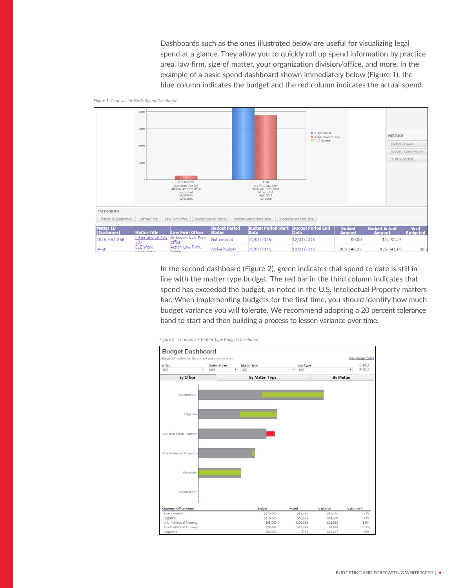Dashboards such as the ones illustrated below are useful for visualizing legal spend at a glance. They allow you to quickly roll up spend information by practice area, law firm, size of matter, your organization division/office, and more. In the example of a basic spend dashboard shown immediately below (Figure 1), the blue column indicates the budget and the red column indicates the actual spend.



*Figure 1. CounselLink Basic Spend Dashboard*

In the second dashboard (Figure 2), green indicates that spend to date is still in line with the matter type budget. The red bar in the third column indicates that spend has exceeded the budget, as noted in the U.S. Intellectual Property matters bar. When implementing budgets for the first time, you should identify how much budget variance you will tolerate. We recommend adopting a 20 percent tolerance band to start and then building a process to lessen variance over time.



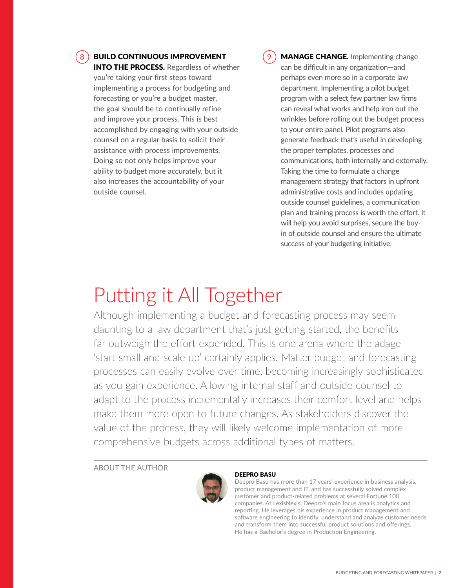8 **BUILD CONTINUOUS IMPROVEMENT** (9

**INTO THE PROCESS.** Regardless of whether you're taking your first steps toward implementing a process for budgeting and forecasting or you're a budget master, the goal should be to continually refine and improve your process. This is best accomplished by engaging with your outside counsel on a regular basis to solicit their assistance with process improvements. Doing so not only helps improve your ability to budget more accurately, but it also increases the accountability of your outside counsel.

MANAGE CHANGE. Implementing change can be difficult in any organization—and perhaps even more so in a corporate law department. Implementing a pilot budget program with a select few partner law firms can reveal what works and help iron out the wrinkles before rolling out the budget process to your entire panel. Pilot programs also generate feedback that's useful in developing the proper templates, processes and communications, both internally and externally. Taking the time to formulate a change management strategy that factors in upfront administrative costs and includes updating outside counsel guidelines, a communication plan and training process is worth the effort. It will help you avoid surprises, secure the buyin of outside counsel and ensure the ultimate success of your budgeting initiative.

### Putting it All Together

Although implementing a budget and forecasting process may seem daunting to a law department that's just getting started, the benefits far outweigh the effort expended. This is one arena where the adage 'start small and scale up' certainly applies. Matter budget and forecasting processes can easily evolve over time, becoming increasingly sophisticated as you gain experience. Allowing internal staff and outside counsel to adapt to the process incrementally increases their comfort level and helps make them more open to future changes. As stakeholders discover the value of the process, they will likely welcome implementation of more comprehensive budgets across additional types of matters.

ABOUT THE AUTHOR



#### DEEPRO BASU

Deepro Basu has more than 17 years' experience in business analysis, product management and IT, and has successfully solved complex customer and product-related problems at several Fortune 100 companies. At LexisNexis, Deepro's main focus area is analytics and reporting. He leverages his experience in product management and software engineering to identify, understand and analyze customer needs and transform them into successful product solutions and offerings. He has a Bachelor's degree in Production Engineering.